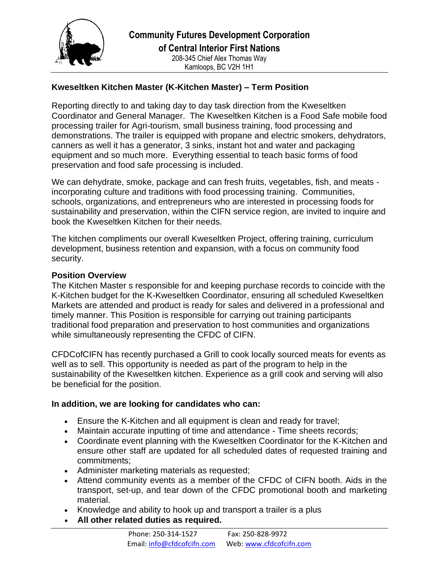

## **Kweseltken Kitchen Master (K-Kitchen Master) – Term Position**

Reporting directly to and taking day to day task direction from the Kweseltken Coordinator and General Manager. The Kweseltken Kitchen is a Food Safe mobile food processing trailer for Agri-tourism, small business training, food processing and demonstrations. The trailer is equipped with propane and electric smokers, dehydrators, canners as well it has a generator, 3 sinks, instant hot and water and packaging equipment and so much more. Everything essential to teach basic forms of food preservation and food safe processing is included.

We can dehydrate, smoke, package and can fresh fruits, vegetables, fish, and meats incorporating culture and traditions with food processing training. Communities, schools, organizations, and entrepreneurs who are interested in processing foods for sustainability and preservation, within the CIFN service region, are invited to inquire and book the Kweseltken Kitchen for their needs.

The kitchen compliments our overall Kweseltken Project, offering training, curriculum development, business retention and expansion, with a focus on community food security.

## **Position Overview**

The Kitchen Master s responsible for and keeping purchase records to coincide with the K-Kitchen budget for the K-Kweseltken Coordinator, ensuring all scheduled Kweseltken Markets are attended and product is ready for sales and delivered in a professional and timely manner. This Position is responsible for carrying out training participants traditional food preparation and preservation to host communities and organizations while simultaneously representing the CFDC of CIFN.

CFDCofCIFN has recently purchased a Grill to cook locally sourced meats for events as well as to sell. This opportunity is needed as part of the program to help in the sustainability of the Kweseltken kitchen. Experience as a grill cook and serving will also be beneficial for the position.

## **In addition, we are looking for candidates who can:**

- Ensure the K-Kitchen and all equipment is clean and ready for travel;
- Maintain accurate inputting of time and attendance Time sheets records;
- Coordinate event planning with the Kweseltken Coordinator for the K-Kitchen and ensure other staff are updated for all scheduled dates of requested training and commitments;
- Administer marketing materials as requested;
- Attend community events as a member of the CFDC of CIFN booth. Aids in the transport, set-up, and tear down of the CFDC promotional booth and marketing material.
- Knowledge and ability to hook up and transport a trailer is a plus
- **All other related duties as required.**